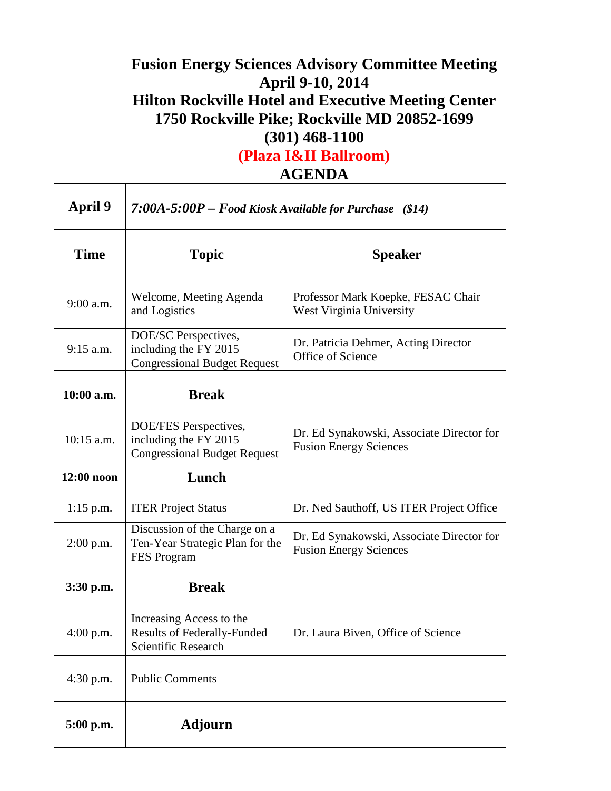## **Fusion Energy Sciences Advisory Committee Meeting April 9-10, 2014 Hilton Rockville Hotel and Executive Meeting Center 1750 Rockville Pike; Rockville MD 20852-1699 (301) 468-1100**

**(Plaza I&II Ballroom)**

٦

**AGENDA**

 $\Gamma$ 

Т

| <b>April 9</b> | 7:00A-5:00P – Food Kiosk Available for Purchase $(14)$                                |                                                                            |
|----------------|---------------------------------------------------------------------------------------|----------------------------------------------------------------------------|
| <b>Time</b>    | <b>Topic</b>                                                                          | <b>Speaker</b>                                                             |
| $9:00$ a.m.    | Welcome, Meeting Agenda<br>and Logistics                                              | Professor Mark Koepke, FESAC Chair<br>West Virginia University             |
| $9:15$ a.m.    | DOE/SC Perspectives,<br>including the FY 2015<br><b>Congressional Budget Request</b>  | Dr. Patricia Dehmer, Acting Director<br>Office of Science                  |
| $10:00$ a.m.   | <b>Break</b>                                                                          |                                                                            |
| $10:15$ a.m.   | DOE/FES Perspectives,<br>including the FY 2015<br><b>Congressional Budget Request</b> | Dr. Ed Synakowski, Associate Director for<br><b>Fusion Energy Sciences</b> |
| $12:00$ noon   | Lunch                                                                                 |                                                                            |
| $1:15$ p.m.    | <b>ITER Project Status</b>                                                            | Dr. Ned Sauthoff, US ITER Project Office                                   |
| $2:00$ p.m.    | Discussion of the Charge on a<br>Ten-Year Strategic Plan for the<br>FES Program       | Dr. Ed Synakowski, Associate Director for<br><b>Fusion Energy Sciences</b> |
| 3:30 p.m.      | <b>Break</b>                                                                          |                                                                            |
| $4:00$ p.m.    | Increasing Access to the<br><b>Results of Federally-Funded</b><br>Scientific Research | Dr. Laura Biven, Office of Science                                         |
| $4:30$ p.m.    | <b>Public Comments</b>                                                                |                                                                            |
| 5:00 p.m.      | Adjourn                                                                               |                                                                            |